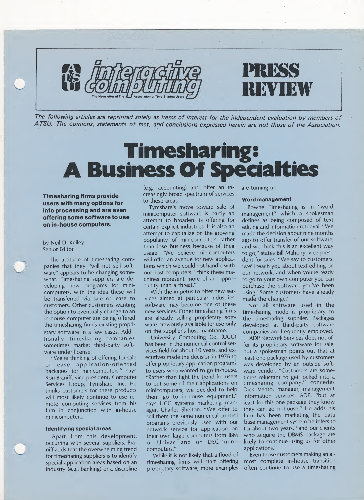

The following articles are reprinted solely as items of interest for the independent evaluation by members of ATSU. The opinions, statements of fact, and conclusions expressed herein are not those of the Association.

# Timesharing: A Business Of Specialties

Timesharing firms provide users with many options for info processing and are even offering some software to use on in-house computers.



by Neil D. Kelley Senior Editor

The attitude of timesharing companies that they "will not sell software" appears to be changing somewhat. Timesharing suppliers are developing new programs for minicomputers, with the idea these will be transferred via sale or lease to customers. Other customers wanting the option to eventually change to an in-house computer are being offered the timesharing firm's existing proprietary software in a few cases. Additionally, timesharing companies sometimes market third-party software under license.

"We're thinking of offering for sale or lease, application-oriented packages for minicomputers," says Ron Braniff, vice president, Computer Services Group, Tymshare, Inc. He thinks customers for these products will most likely continue to use remote computing services from his firm in conjunction with in-house minicomputers.

## Identifying special areas

Apart from this development, occurring with several suppliers, Braniff adds that the overwhelming trend for timesharing suppliers is to identify special application areas based on an industry (e.g., banking) or a discipline (e.g., accounting) and offer an in-: creasingly broad spectrum of services; to these areas.

Tymshare's move toward sale of minicomputer software is partly am attempt to broaden its offering fori certain explicit industries. It is also an, attempt to capitalize on the growing! popularity of minicomputers rather than lose business because of their usage. "We believe minicomputers will offer an avenue for new applications which we could not handle with our host computers. I think these machines represent more of an opportunity than a threat."

With the impetus to offer new services aimed at particular industries, software may become one of these new services. Other timesharing firms are already selling proprietary software previously available for use only on the supplier's host mainframe.

University Computing Co. (UCC) has been in the numerical control services field for about 10 years, and  $ex_{\perp}$ ecutives made the decision in 1976 to offer proprietary application programs to users who wanted to go in-house. "Rather than fight the trend for users to put some of their applications on minicomputers, we decided to help them go to in-house equipment," says UCC systems marketing manager, Charles Shelton. "We offer td sell them the same numerical control programs previously used with our network service for application on their own large computers from IBM or Univac and on DEC minicomputers."

While it is not likely that a flood of timesharing firms will start offering proprietary software, more examples

are turning up.

# Word management

Bowne Timesharing is in "word management" which a spokesman defines as being composed of text editing and information retrieval. "We made the decision about nine months ago to offer transfer of our software, and we think this is an excellent way to go," states Bill Mahony, vice president for sales. "We say to customers, 'we'll teach you about text editing on our network, and when you're ready to go to your own computer you can purchase the software you've been using.' Some customers have already made the change."

Not all software used in the timesharing mode is proprietary to the timesharing supplier. Packages developed at third-party software companies are frequently employed.

ADP Network Services does not offer its proprietary software for sale, but a spokesman points out that at least one package used by customers was developed by an outside software vendor. "Customers are sometimes reluctant to get locked into a timesharing company," concedes Dick Vento, manager, management information services, ADP, "but at least for this one package they know they can go in-house." He adds his firm has been marketing the data base management system he refers to for about two years, "and our clients who acquire the DBMS package are likely to continue using us for other applications."

Even those customers making an almost complete in-house transition often continue to use a timesharing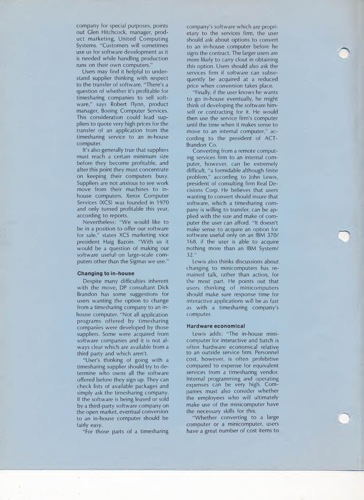company for special purposes, points out Glen Hitchcock, manager, product marketing, United Computing Systems. "Customers will sometimes use us for software development as it is needed while handling production runs on their own computers."

Users may find it helpful to understand supplier thinking with respect to the transfer of software. "There's a question of whether it's profitable for timesharing companies to sell software," says Robert Flynn, product manager, Boeing Computer Services. This consideration could lead suppliers to quote very high prices for the transfer of an application from the timesharing service to an in-house computer.

It's also generally true that suppliers must reach a certain minimum size before they become profitable, and after this point they must concentrate on keeping their computers busy. Suppliers are not anxious to see work move from their machines to inhouse computers. Xerox Computer Services (XCS) was founded in 1970 and only turned profitable this year, according to reports.

Nevertheless: "We would like to be in a position to offer our software for sale," states XCS marketing vice president Haig Bazoin. "With us it would be a question of making our software useful on large-scale computers other than the Sigmas we use."

### Changing to in-house

Despite many difficulties inherent with the move, DP consultant Dick Brandon has some suggestions for users wanting the option to change from a timesharing company to an inhouse computer. "Not all application programs offered by timesharing companies were developed by those suppliers. Some were acquired from software companies and it is not always clear which are available from a third party and which aren't.

"User's thinking of going with a timesharing supplier should try to determine who owns all the software offered before they sign up. They can check lists of available packages and simply ask the timesharing company. If the software is being leased or sold by a third-party software company on the open market, eventual conversion to an in-house computer should be fairly easy.

"For those parts of a timesharing

company's software which are proprietary to the services firm, the user should ask about options to convert to an in-house computer before he signs the contract. The larger users are more likely to carry clout in obtaining this option. Users should also ask the services firm if software can subsequently be acquired at a reduced price when conversion takes place.

"Finally, if the user knows he wants to go in-house eventually, he might think of developing the software himself or contracting for it. He would then use the service firm's computer until the time when it makes sense to move to an internal computer," according to the president of ACT-Brandon Co.

Converting from a remote computing services firm to an internal computer, however, can be extremely difficult, "a formidable although finite problem," according to John Lewis, president of consulting firm Real Decisions Corp. He believes that users wanting to convert should insure that software, which a timesharing company is willing to transfer, can be ap plied with the size and make of computer the user can afford. "It doesn't make sense to acquire an option for software useful only on an IBM 370/ 168, if the user is able to acquire nothing more than an IBM System/ 32."

Lewis also thinks discussions about changing to minicomputers has remained talk, rather than action, for the most part. He points out that users thinking of minicomputers should make sure response time for interactive applications will be as fast as with a timesharing company's computer.

#### Hardware economical

Lewis adds: "The in-house minicomputer for interactive and batch is often hardware economical relative to an outside service firm. Personnel cost, however, is often prohibitive compared to expense for equivalent services from a timesharing vendor. Internal programming and operating expenses can be very high. Companies must also consider whether the employees who will ultimately make use of the minicomputer have the necessary skills for this.

"Whether converting to a large computer or a minicomputer, users have a great number of cost items to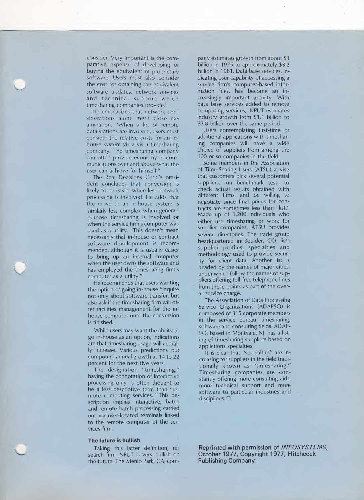consider. Very important is the comparative expense of developing or buying the equivalent of proprietary software. Users must also consider the cost for obtaining the equivalent software updates, network services and technical support which timesharing companies provide."

He emphasizes that network considerations alone merit close examination. "When a lot of remote data stations are involved, users must consider the relative costs for an inhouse system vis a vis a timesharing company. The timesharing company can often provide economy in com munications over and above what the user can achieve for himself."

The Real Decisions Corp.'s president concludes that conversion is likely to be easier when less network processing is involved. He adds that the move to an in-house system is similarly less complex when generalpurpose timesharing is involved or when the service firm's computer was used as a utility. "This doesn't mean necessarily that in-house or contract software development is recommended, although it is usually easier to bring up an internal computer when the user owns the software and has employed the timesharing firm's computer as a utility."

He recommends that users wanting the option of going in-house "inquire not only about software transfer, but also ask if the timesharing firm will offer facilities management for the inhouse computer until the conversion is finished.

While users may want the ability to go in-house as an option, indications are that timesharing usage will actually increase. Various predictions put compound annual growth at 14 to 22 percent for the next five years.

The designation "timesharing," having the connotation of interactive processing only, is often thought to be a less descriptive term than "remote computing services." This de scription implies interactive, batch and remote batch processing carried out via user-located terminals linked to the remote computer of the services firm.

#### The future is bullish

Taking this latter definition, research firm INPUT is very bullish on the future. The Menlo Park, CA, com-

pany estimates growth from about \$1 billion in 1975 to approximately \$3.2 billion in 1981. Data base services, indicating user capability of accessing a service firm's computer-based information files, has become an in creasingly important activity. With data base services added to remote computing services, INPUT estimates industry growth from \$1.1 billion to \$3.8 billion over the same period.

Users contemplating first-time or additional applications with timesharing companies will have a wide choice of suppliers from among the 100 or so companies in the field.

Some members in the Association of Time-Sharing Users (ATSU) advise that customers pick several potential suppliers, run benchmark tests to check actual results obtained with different firms, and be willing to negotiate since final prices for contracts are sometimes less than "list." Made up of 1,200 individuals who either use timesharing or work for supplier companies, ATSU provides several directories. The trade group headquartered in' Boulder, CO, lists supplier profiles, specialties and methodology used to provide security for client data. Another list is headed by the names of major cities, under which follow the names of suppliers offering toll-free telephone lines from these points as part of the overall service charge.

The Association of Data Processing Service Organizations (ADAPSO) is composed of 315 corporate members in the service bureau, timesharing, software and consulting fields. ADAP-SO, based in Montvale, NJ, has a listing of timesharing suppliers based on applictions specialties.

It is clear that "specialties" are in creasing for suppliers in the field traditionally known as "timesharing." Timesharing companies are con stantly offering more consulting aids, more technical support and more software to particular industries and disciplines.  $\square$ 

Reprinted with permission of INFOSYSTEMS, October 1977, Copyright 1977, Hitchcock Publishing Company.